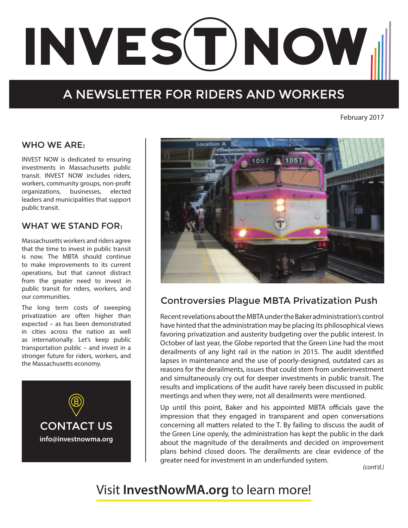# INVES(T)NOW

# A NEWSLETTER FOR RIDERS AND WORKERS

February 2017

#### WHO WE ARE:

INVEST NOW is dedicated to ensuring investments in Massachusetts public transit. INVEST NOW includes riders, workers, community groups, non-profit organizations, businesses, elected leaders and municipalities that support public transit.

#### WHAT WE STAND FOR:

Massachusetts workers and riders agree that the time to invest in public transit is now. The MBTA should continue to make improvements to its current operations, but that cannot distract from the greater need to invest in public transit for riders, workers, and our communities.

The long term costs of sweeping privatization are often higher than expected – as has been demonstrated in cities across the nation as well as internationally. Let's keep public transportation public – and invest in a stronger future for riders, workers, and the Massachusetts economy.





# Controversies Plague MBTA Privatization Push

Recent revelations about the MBTA under the Baker administration's control have hinted that the administration may be placing its philosophical views favoring privatization and austerity budgeting over the public interest. In October of last year, the Globe reported that the Green Line had the most derailments of any light rail in the nation in 2015. The audit identified lapses in maintenance and the use of poorly-designed, outdated cars as reasons for the derailments, issues that could stem from underinvestment and simultaneously cry out for deeper investments in public transit. The results and implications of the audit have rarely been discussed in public meetings and when they were, not all derailments were mentioned.

Up until this point, Baker and his appointed MBTA officials gave the impression that they engaged in transparent and open conversations concerning all matters related to the T. By failing to discuss the audit of the Green Line openly, the administration has kept the public in the dark about the magnitude of the derailments and decided on improvement plans behind closed doors. The derailments are clear evidence of the greater need for investment in an underfunded system.

*(cont'd.)*

# Visit **InvestNowMA.org** to learn more!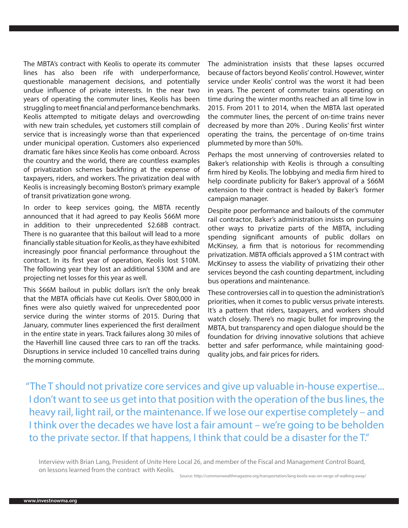The MBTA's contract with Keolis to operate its commuter lines has also been rife with underperformance, questionable management decisions, and potentially undue influence of private interests. In the near two years of operating the commuter lines, Keolis has been struggling to meet financial and performance benchmarks. Keolis attempted to mitigate delays and overcrowding with new train schedules, yet customers still complain of service that is increasingly worse than that experienced under municipal operation. Customers also experienced dramatic fare hikes since Keolis has come onboard. Across the country and the world, there are countless examples of privatization schemes backfiring at the expense of taxpayers, riders, and workers. The privatization deal with Keolis is increasingly becoming Boston's primary example of transit privatization gone wrong.

In order to keep services going, the MBTA recently announced that it had agreed to pay Keolis \$66M more in addition to their unprecedented \$2.68B contract. There is no guarantee that this bailout will lead to a more financially stable situation for Keolis, as they have exhibited increasingly poor financial performance throughout the contract. In its first year of operation, Keolis lost \$10M. The following year they lost an additional \$30M and are projecting net losses for this year as well.

This \$66M bailout in public dollars isn't the only break that the MBTA officials have cut Keolis. Over \$800,000 in fines were also quietly waived for unprecedented poor service during the winter storms of 2015. During that January, commuter lines experienced the first derailment in the entire state in years. Track failures along 30 miles of the Haverhill line caused three cars to ran off the tracks. Disruptions in service included 10 cancelled trains during the morning commute.

The administration insists that these lapses occurred because of factors beyond Keolis' control. However, winter service under Keolis' control was the worst it had been in years. The percent of commuter trains operating on time during the winter months reached an all time low in 2015. From 2011 to 2014, when the MBTA last operated the commuter lines, the percent of on-time trains never decreased by more than 20% . During Keolis' first winter operating the trains, the percentage of on-time trains plummeted by more than 50%.

Perhaps the most unnerving of controversies related to Baker's relationship with Keolis is through a consulting firm hired by Keolis. The lobbying and media firm hired to help coordinate publicity for Baker's approval of a \$66M extension to their contract is headed by Baker's former campaign manager.

Despite poor performance and bailouts of the commuter rail contractor, Baker's administration insists on pursuing other ways to privatize parts of the MBTA, including spending significant amounts of public dollars on McKinsey, a firm that is notorious for recommending privatization. MBTA officials approved a \$1M contract with McKinsey to assess the viability of privatizing their other services beyond the cash counting department, including bus operations and maintenance.

These controversies call in to question the administration's priorities, when it comes to public versus private interests. It's a pattern that riders, taxpayers, and workers should watch closely. There's no magic bullet for improving the MBTA, but transparency and open dialogue should be the foundation for driving innovative solutions that achieve better and safer performance, while maintaining goodquality jobs, and fair prices for riders.

"The T should not privatize core services and give up valuable in-house expertise... I don't want to see us get into that position with the operation of the bus lines, the heavy rail, light rail, or the maintenance. If we lose our expertise completely – and I think over the decades we have lost a fair amount – we're going to be beholden to the private sector. If that happens, I think that could be a disaster for the T."

Interview with Brian Lang, President of Unite Here Local 26, and member of the Fiscal and Management Control Board, on lessons learned from the contract with Keolis.

Source: http://commonwealthmagazine.org/transportation/lang-keolis-was-on-verge-of-walking-away/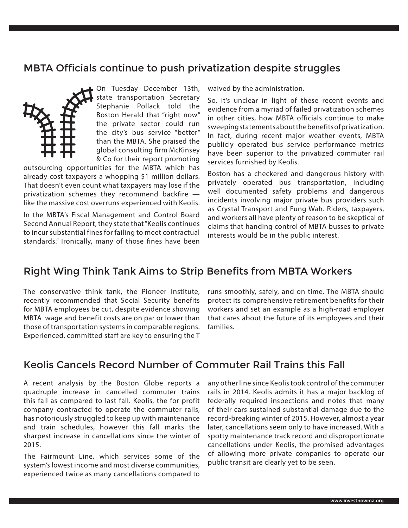# MBTA Officials continue to push privatization despite struggles



On Tuesday December 13th, state transportation Secretary Stephanie Pollack told the Boston Herald that "right now" the private sector could run the city's bus service "better" than the MBTA. She praised the global consulting firm McKinsey & Co for their report promoting

outsourcing opportunities for the MBTA which has already cost taxpayers a whopping \$1 million dollars. That doesn't even count what taxpayers may lose if the privatization schemes they recommend backfire like the massive cost overruns experienced with Keolis.

In the MBTA's Fiscal Management and Control Board Second Annual Report, they state that "Keolis continues to incur substantial fines for failing to meet contractual standards." Ironically, many of those fines have been

waived by the administration.

So, it's unclear in light of these recent events and evidence from a myriad of failed privatization schemes in other cities, how MBTA officials continue to make sweeping statements about the benefits of privatization. In fact, during recent major weather events, MBTA publicly operated bus service performance metrics have been superior to the privatized commuter rail services furnished by Keolis.

Boston has a checkered and dangerous history with privately operated bus transportation, including well documented safety problems and dangerous incidents involving major private bus providers such as Crystal Transport and Fung Wah. Riders, taxpayers, and workers all have plenty of reason to be skeptical of claims that handing control of MBTA busses to private interests would be in the public interest.

# Right Wing Think Tank Aims to Strip Benefits from MBTA Workers

The conservative think tank, the Pioneer Institute, recently recommended that Social Security benefits for MBTA employees be cut, despite evidence showing MBTA wage and benefit costs are on par or lower than those of transportation systems in comparable regions. Experienced, committed staff are key to ensuring the T

runs smoothly, safely, and on time. The MBTA should protect its comprehensive retirement benefits for their workers and set an example as a high-road employer that cares about the future of its employees and their families.

# Keolis Cancels Record Number of Commuter Rail Trains this Fall

A recent analysis by the Boston Globe reports a quadruple increase in cancelled commuter trains this fall as compared to last fall. Keolis, the for profit company contracted to operate the commuter rails, has notoriously struggled to keep up with maintenance and train schedules, however this fall marks the sharpest increase in cancellations since the winter of 2015.

The Fairmount Line, which services some of the system's lowest income and most diverse communities, experienced twice as many cancellations compared to

any other line since Keolis took control of the commuter rails in 2014. Keolis admits it has a major backlog of federally required inspections and notes that many of their cars sustained substantial damage due to the record-breaking winter of 2015. However, almost a year later, cancellations seem only to have increased. With a spotty maintenance track record and disproportionate cancellations under Keolis, the promised advantages of allowing more private companies to operate our public transit are clearly yet to be seen.